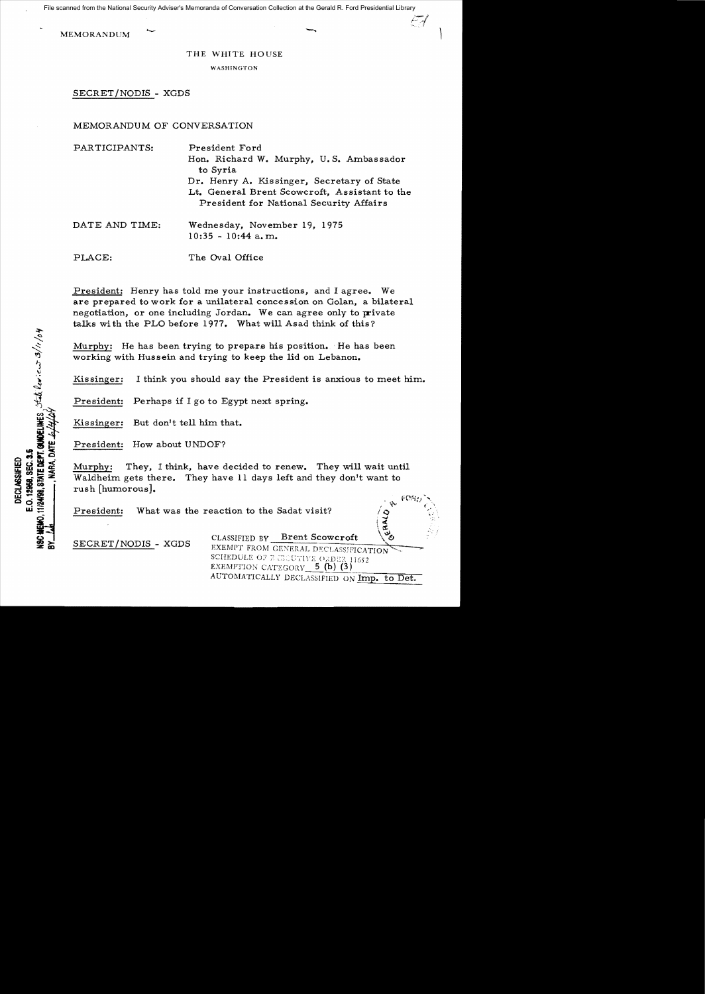File scanned from the National Security Adviser's Memoranda of Conversation Collection at the Gerald R. Ford Presidential Library

MEMORANDUM

## THE WHITE HOUSE

WASHINGTON

SECRET/NODIS - XGDS

## MEMORANDUM OF CONVERSATION

PLACE: The Oval Office

| PARTICIPANTS:  | President Ford<br>Hon. Richard W. Murphy, U.S. Ambassador<br>to Syria                                                                  |
|----------------|----------------------------------------------------------------------------------------------------------------------------------------|
|                | Dr. Henry A. Kissinger, Secretary of State<br>Lt. General Brent Scowcroft, Assistant to the<br>President for National Security Affairs |
| DATE AND TIME: | Wednesday, November 19, 1975<br>$10:35 - 10:44$ a.m.                                                                                   |

President: Henry has told me your instructions, and I agree. We are prepared to work for a unilateral concession on Golan, a bilateral negotiation, or one including Jordan. We can agree only to private talks wi th the PLO before 1977. What will Asad think of this?

Murphy: He has been trying to prepare his position. He has been working with Hussein and trying to keep the lid on Lebanon.

Kissinger: I think you should say the President is anxious to meet him.

President: Perhaps if I go to Egypt next spring.

Kissinger: But don't tell him that.

President: How about UNDOF?

**THE DEPT. GUNDELINES** State low it us 10/11/04

E.O. 12968, SEC. 3.5 DECLASSIFIED

**NARA DATE** 

Murphy: They, I think, have decided to renew. They will wait until Waldheim gets there. They have 11 days left and they don't want to rush [humorous).

President: What was the reaction to the Sadat visit?

SECRET/NODIS - XGDS CLASSIFIED BY Brent Scowcroft \\\ SCHEDULE OF E GEOVIVE ORDER 11652 EXEMPTION CATEGORY 5 (b) (3) AUTOMATICALLY DECLASSIFIED ON Imp. to Det.

 $\rightarrow$   $\kappa$   $^{FORU}$   $_c$ 

 $\frac{1}{2}$  $\mathbf{z}_1$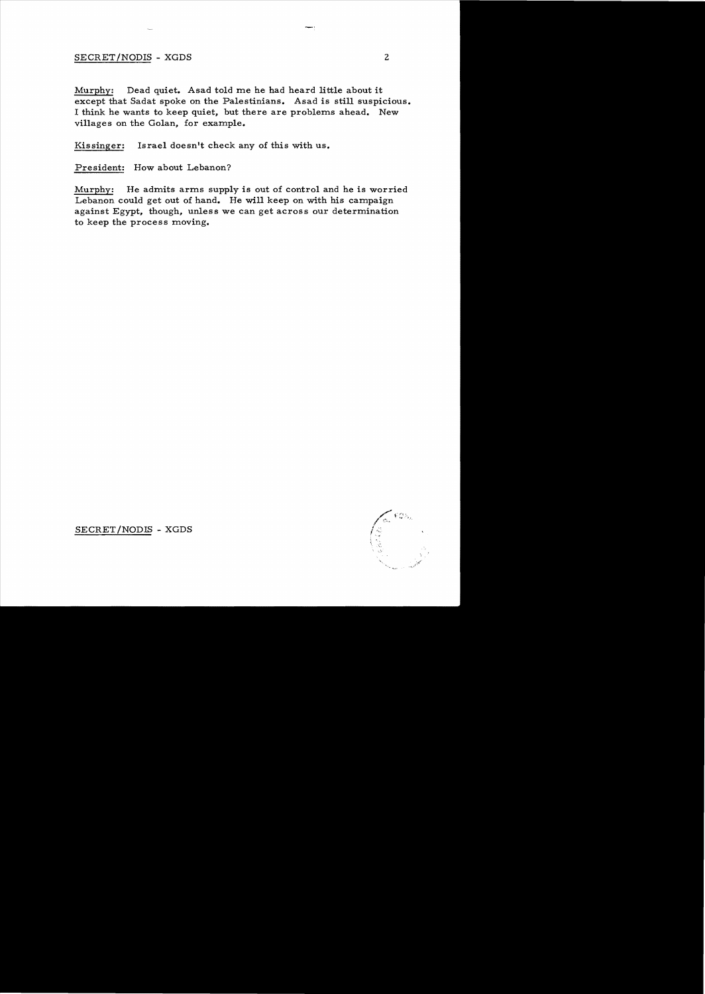## SECRET/NODIS - XGDS 2

Murphy: Dead quiet. Asad told me he had heard little about it except that Sadat spoke on the Palestinians. Asad is still suspicious. I think he wants to keep quiet, but there are problems ahead. New villages on the Golan, for example.

Kissinger: Israel doesn't check any of this with us.

President: How about Lebanon?

Murphy: He admits arms supply is out of control and he is worried Lebanon could get out of hand. He will keep on with his campaign against Egypt, though. unless we can get across our determination to keep the process moving.

 $\int_{\frac{1}{2}}$   $\cos$ ,

SECRET/NODIS - XGDS